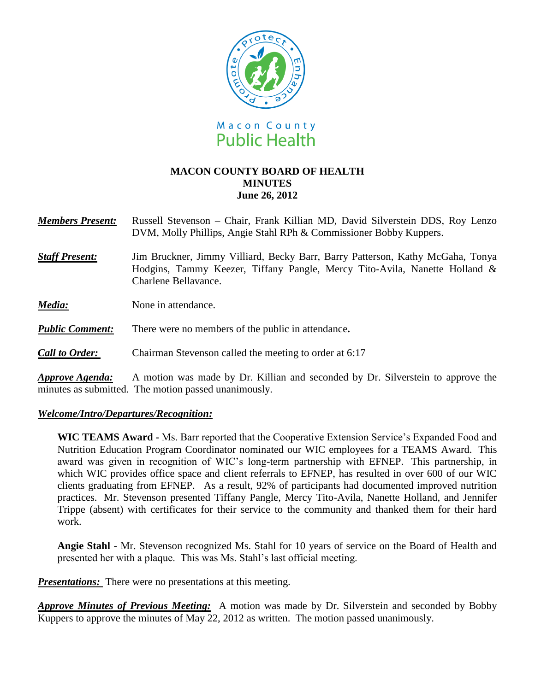

# **MACON COUNTY BOARD OF HEALTH MINUTES June 26, 2012**

*Members Present:* Russell Stevenson – Chair, Frank Killian MD, David Silverstein DDS, Roy Lenzo DVM, Molly Phillips, Angie Stahl RPh & Commissioner Bobby Kuppers.

*Staff Present:*Jim Bruckner, Jimmy Villiard, Becky Barr, Barry Patterson, Kathy McGaha, Tonya Hodgins, Tammy Keezer, Tiffany Pangle, Mercy Tito-Avila, Nanette Holland & Charlene Bellavance.

*Media:* None in attendance.

*Public Comment:* There were no members of the public in attendance**.**

*Call to Order:* Chairman Stevenson called the meeting to order at 6:17

*Approve Agenda:* A motion was made by Dr. Killian and seconded by Dr. Silverstein to approve the minutes as submitted. The motion passed unanimously.

### *Welcome/Intro/Departures/Recognition:*

**WIC TEAMS Award -** Ms. Barr reported that the Cooperative Extension Service's Expanded Food and Nutrition Education Program Coordinator nominated our WIC employees for a TEAMS Award. This award was given in recognition of WIC's long-term partnership with EFNEP. This partnership, in which WIC provides office space and client referrals to EFNEP, has resulted in over 600 of our WIC clients graduating from EFNEP. As a result, 92% of participants had documented improved nutrition practices. Mr. Stevenson presented Tiffany Pangle, Mercy Tito-Avila, Nanette Holland, and Jennifer Trippe (absent) with certificates for their service to the community and thanked them for their hard work.

**Angie Stahl** - Mr. Stevenson recognized Ms. Stahl for 10 years of service on the Board of Health and presented her with a plaque. This was Ms. Stahl's last official meeting.

*Presentations:* There were no presentations at this meeting.

*Approve Minutes of Previous Meeting:*A motion was made by Dr. Silverstein and seconded by Bobby Kuppers to approve the minutes of May 22, 2012 as written. The motion passed unanimously.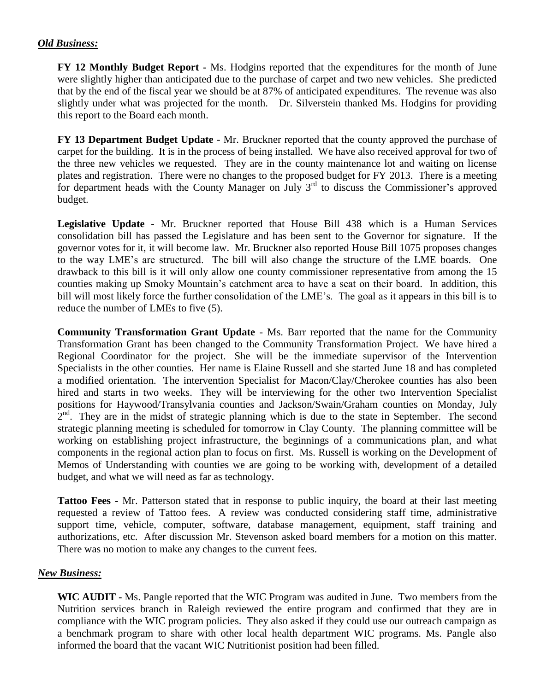# *Old Business:*

**FY 12 Monthly Budget Report -** Ms. Hodgins reported that the expenditures for the month of June were slightly higher than anticipated due to the purchase of carpet and two new vehicles. She predicted that by the end of the fiscal year we should be at 87% of anticipated expenditures. The revenue was also slightly under what was projected for the month. Dr. Silverstein thanked Ms. Hodgins for providing this report to the Board each month.

**FY 13 Department Budget Update** - Mr. Bruckner reported that the county approved the purchase of carpet for the building. It is in the process of being installed. We have also received approval for two of the three new vehicles we requested. They are in the county maintenance lot and waiting on license plates and registration. There were no changes to the proposed budget for FY 2013. There is a meeting for department heads with the County Manager on July  $3<sup>rd</sup>$  to discuss the Commissioner's approved budget.

**Legislative Update -** Mr. Bruckner reported that House Bill 438 which is a Human Services consolidation bill has passed the Legislature and has been sent to the Governor for signature. If the governor votes for it, it will become law. Mr. Bruckner also reported House Bill 1075 proposes changes to the way LME's are structured. The bill will also change the structure of the LME boards. One drawback to this bill is it will only allow one county commissioner representative from among the 15 counties making up Smoky Mountain's catchment area to have a seat on their board. In addition, this bill will most likely force the further consolidation of the LME's. The goal as it appears in this bill is to reduce the number of LMEs to five (5).

**Community Transformation Grant Update** - Ms. Barr reported that the name for the Community Transformation Grant has been changed to the Community Transformation Project. We have hired a Regional Coordinator for the project. She will be the immediate supervisor of the Intervention Specialists in the other counties. Her name is Elaine Russell and she started June 18 and has completed a modified orientation. The intervention Specialist for Macon/Clay/Cherokee counties has also been hired and starts in two weeks. They will be interviewing for the other two Intervention Specialist positions for Haywood/Transylvania counties and Jackson/Swain/Graham counties on Monday, July 2<sup>nd</sup>. They are in the midst of strategic planning which is due to the state in September. The second strategic planning meeting is scheduled for tomorrow in Clay County. The planning committee will be working on establishing project infrastructure, the beginnings of a communications plan, and what components in the regional action plan to focus on first. Ms. Russell is working on the Development of Memos of Understanding with counties we are going to be working with, development of a detailed budget, and what we will need as far as technology.

**Tattoo Fees -** Mr. Patterson stated that in response to public inquiry, the board at their last meeting requested a review of Tattoo fees. A review was conducted considering staff time, administrative support time, vehicle, computer, software, database management, equipment, staff training and authorizations, etc. After discussion Mr. Stevenson asked board members for a motion on this matter. There was no motion to make any changes to the current fees.

### *New Business:*

**WIC AUDIT -** Ms. Pangle reported that the WIC Program was audited in June. Two members from the Nutrition services branch in Raleigh reviewed the entire program and confirmed that they are in compliance with the WIC program policies. They also asked if they could use our outreach campaign as a benchmark program to share with other local health department WIC programs. Ms. Pangle also informed the board that the vacant WIC Nutritionist position had been filled.